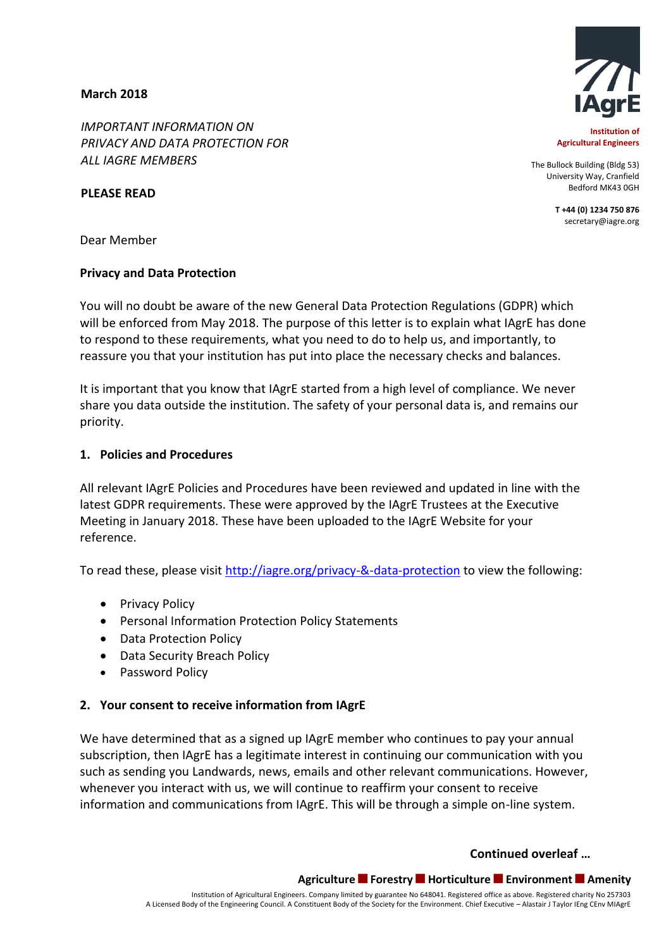## **March 2018**

*IMPORTANT INFORMATION ON PRIVACY AND DATA PROTECTION FOR ALL IAGRE MEMBERS*

**PLEASE READ**



**Institution of Agricultural Engineers**

The Bullock Building (Bldg 53) University Way, Cranfield Bedford MK43 0GH

> **T +44 (0) 1234 750 876** secretary@iagre.org

Dear Member

## **Privacy and Data Protection**

You will no doubt be aware of the new General Data Protection Regulations (GDPR) which will be enforced from May 2018. The purpose of this letter is to explain what IAgrE has done to respond to these requirements, what you need to do to help us, and importantly, to reassure you that your institution has put into place the necessary checks and balances.

It is important that you know that IAgrE started from a high level of compliance. We never share you data outside the institution. The safety of your personal data is, and remains our priority.

## **1. Policies and Procedures**

All relevant IAgrE Policies and Procedures have been reviewed and updated in line with the latest GDPR requirements. These were approved by the IAgrE Trustees at the Executive Meeting in January 2018. These have been uploaded to the IAgrE Website for your reference.

To read these, please visit<http://iagre.org/privacy-&-data-protection> to view the following:

- Privacy Policy
- Personal Information Protection Policy Statements
- Data Protection Policy
- Data Security Breach Policy
- Password Policy

## **2. Your consent to receive information from IAgrE**

We have determined that as a signed up IAgrE member who continues to pay your annual subscription, then IAgrE has a legitimate interest in continuing our communication with you such as sending you Landwards, news, emails and other relevant communications. However, whenever you interact with us, we will continue to reaffirm your consent to receive information and communications from IAgrE. This will be through a simple on-line system.

**Continued overleaf …**

**Agriculture Forestry Horticulture Environment Amenity**